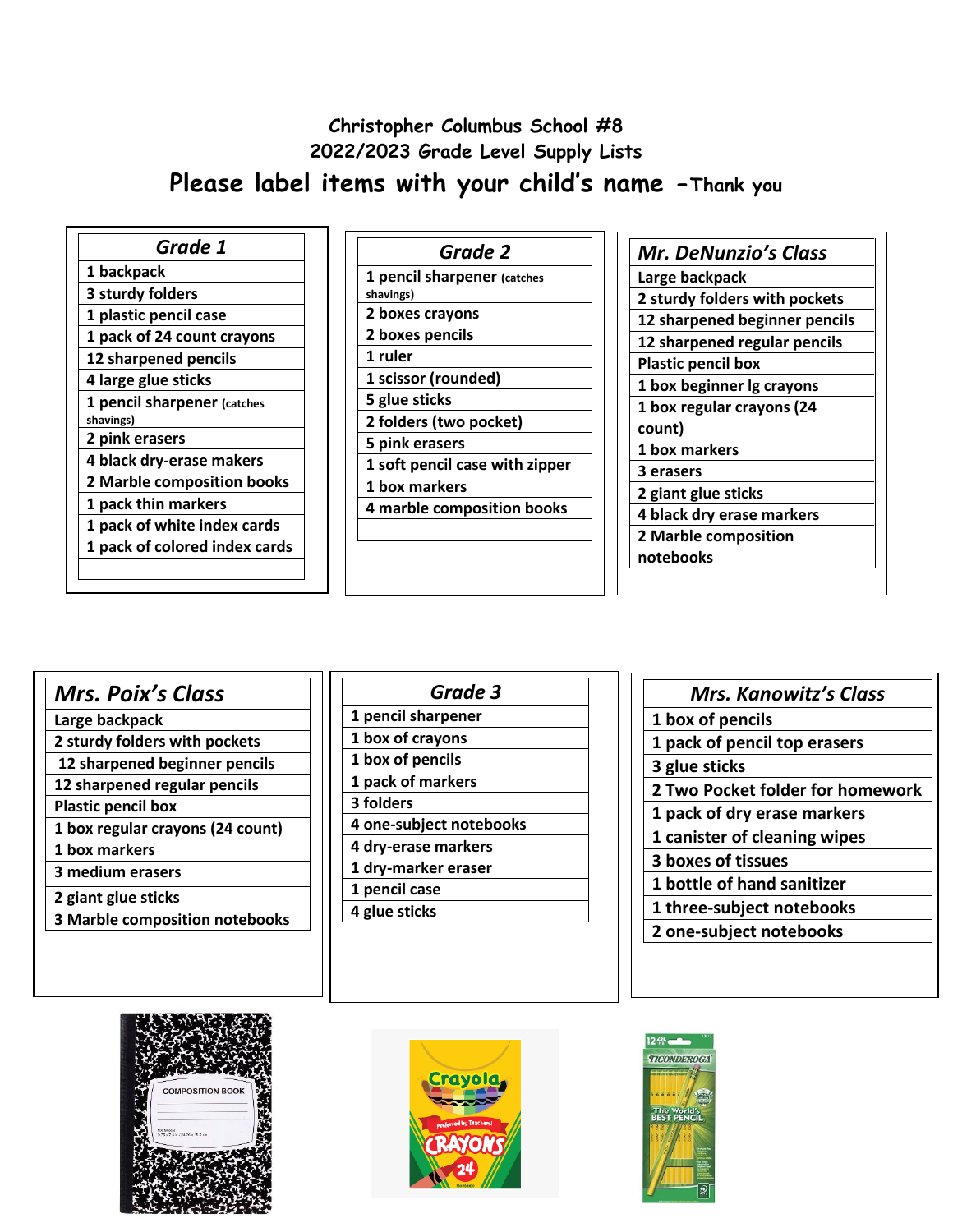# **Christopher Columbus School #8 2022/2023 Grade Level Supply Lists Please label items with your child's name -Thank you**

| Grade 1                       |
|-------------------------------|
| 1 backpack                    |
| 3 sturdy folders              |
| 1 plastic pencil case         |
| 1 pack of 24 count crayons    |
| 12 sharpened pencils          |
| 4 large glue sticks           |
| 1 pencil sharpener (catches   |
| shavings)                     |
| 2 pink erasers                |
| 4 black dry-erase makers      |
| 2 Marble composition books    |
| 1 pack thin markers           |
| 1 pack of white index cards   |
| 1 pack of colored index cards |
|                               |

| Grade 2                                  |  |
|------------------------------------------|--|
| 1 pencil sharpener (catches<br>shavings) |  |
| 2 boxes crayons                          |  |
| 2 boxes pencils                          |  |
| 1 ruler                                  |  |
| 1 scissor (rounded)                      |  |
| 5 glue sticks                            |  |
| 2 folders (two pocket)                   |  |
| 5 pink erasers                           |  |
| 1 soft pencil case with zipper           |  |
| 1 box markers                            |  |
| 4 marble composition books               |  |
|                                          |  |

| <b>Mr. DeNunzio's Class</b>   |
|-------------------------------|
| Large backpack                |
| 2 sturdy folders with pockets |
| 12 sharpened beginner pencils |
| 12 sharpened regular pencils  |
| <b>Plastic pencil box</b>     |
| 1 box beginner lg crayons     |
| 1 box regular crayons (24     |
| count)                        |
| 1 box markers                 |
| 3 erasers                     |
| 2 giant glue sticks           |
| 4 black dry erase markers     |
| 2 Marble composition          |
| notebooks                     |
|                               |

|  | <b>Mrs. Poix's Class</b> |  |
|--|--------------------------|--|
|--|--------------------------|--|

- **Large backpack**
- **2 sturdy folders with pockets**
- **12 sharpened beginner pencils**
- **12 sharpened regular pencils Plastic pencil box**
- **1 box regular crayons (24 count)**
- **1 box markers**
- **3 medium erasers**
- **2 giant glue sticks**
- **3 Marble composition notebooks**

| Grade 3                 |  |
|-------------------------|--|
| 1 pencil sharpener      |  |
| 1 box of crayons        |  |
| 1 box of pencils        |  |
| 1 pack of markers       |  |
| 3 folders               |  |
| 4 one-subject notebooks |  |
| 4 dry-erase markers     |  |
| 1 dry-marker eraser     |  |
| 1 pencil case           |  |
| 4 glue sticks           |  |
|                         |  |

| <b>Mrs. Kanowitz's Class</b>     |  |
|----------------------------------|--|
| 1 box of pencils                 |  |
| 1 pack of pencil top erasers     |  |
| 3 glue sticks                    |  |
| 2 Two Pocket folder for homework |  |
| 1 pack of dry erase markers      |  |
| 1 canister of cleaning wipes     |  |
| <b>3 boxes of tissues</b>        |  |
| 1 bottle of hand sanitizer       |  |
| 1 three-subject notebooks        |  |
| 2 one-subject notebooks          |  |